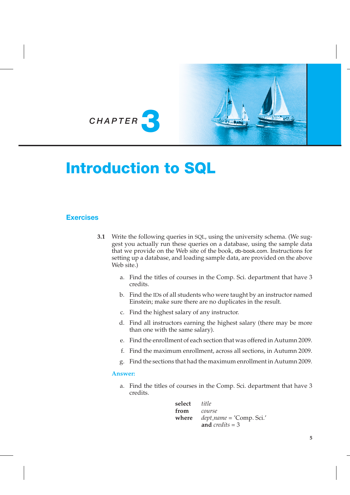

# Introduction to SQL

## **Exercises**

- **3.1** Write the following queries in SQL, using the university schema. (We suggest you actually run these queries on a database, using the sample data that we provide on the Web site of the book, db-book.com. Instructions for setting up a database, and loading sample data, are provided on the above Web site.)
	- a. Find the titles of courses in the Comp. Sci. department that have 3 credits.
	- b. Find the IDs of all students who were taught by an instructor named Einstein; make sure there are no duplicates in the result.
	- c. Find the highest salary of any instructor.
	- d. Find all instructors earning the highest salary (there may be more than one with the same salary).
	- e. Find the enrollment of each section that was offered in Autumn 2009.
	- f. Find the maximum enrollment, across all sections, in Autumn 2009.
	- g. Find the sections that had the maximum enrollment in Autumn 2009.

#### **Answer:**

a. Find the titles of courses in the Comp. Sci. department that have 3 credits.

| select <i>title</i> |                             |
|---------------------|-----------------------------|
| from                | course                      |
| where               | $dept\_name = 'Comp. Sci.'$ |
|                     | and credits $=$ 3           |

**5**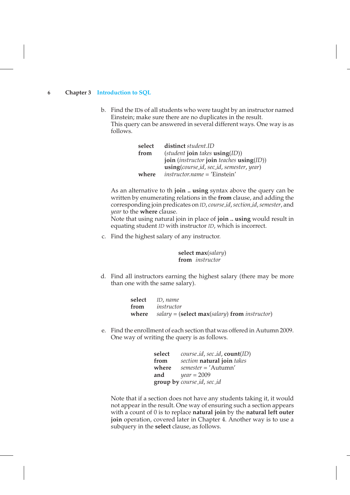b. Find the IDs of all students who were taught by an instructor named Einstein; make sure there are no duplicates in the result. This query can be answered in several different ways. One way is as follows.

| select | distinct student.ID                        |  |
|--------|--------------------------------------------|--|
| from   | $(student\,join\, takes\,using(ID))$       |  |
|        | join (instructor join teaches $using(ID))$ |  |
|        | using(course_id, sec_id, semester, year)   |  |
| where  | $instructor.name = 'Einstein'$             |  |

As an alternative to th **join .. using** syntax above the query can be written by enumerating relations in the **from** clause, and adding the corresponding join predicates on *ID*, *course id*,*section id*,*semester*, and *year* to the **where** clause.

Note that using natural join in place of **join .. using** would result in equating student *ID* with instructor *ID*, which is incorrect.

c. Find the highest salary of any instructor.

**select max**(*salary*) **from** *instructor*

d. Find all instructors earning the highest salary (there may be more than one with the same salary).

| select ID, name                                       |
|-------------------------------------------------------|
| from <i>instructor</i>                                |
| where $salary = (select max(salary) from instructor)$ |

e. Find the enrollment of each section that was offered in Autumn 2009. One way of writing the query is as follows.

| select | <i>course_id, sec_id, count(ID)</i> |
|--------|-------------------------------------|
| from   | section natural join takes          |
| where  | $semester = 'Autumn'$               |
| and    | $year = 2009$                       |
|        | group by course_id, sec_id          |

Note that if a section does not have any students taking it, it would not appear in the result. One way of ensuring such a section appears with a count of 0 is to replace **natural join** by the **natural left outer join** operation, covered later in Chapter 4. Another way is to use a subquery in the **select** clause, as follows.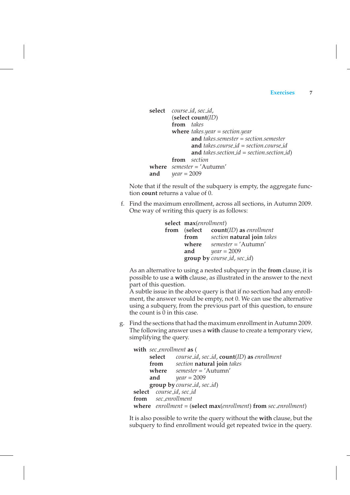```
select course id, sec id,
        (select count(ID)
        from takes
        where takes.year = section.year
               and takes.semester = section.semester
               and takes.course id = section.course id
               and takes.section id = section.section id)
        from section
where semester = 'Autumn'
and year = 2009
```
Note that if the result of the subquery is empty, the aggregate function **count** returns a value of 0.

f. Find the maximum enrollment, across all sections, in Autumn 2009. One way of writing this query is as follows:

```
select max(enrollment)
from (select count(ID) as enrollment
      from section natural join takes
      where semester = 'Autumn'
      and year = 2009
      group by course id, sec id)
```
As an alternative to using a nested subquery in the **from** clause, it is possible to use a **with** clause, as illustrated in the answer to the next part of this question.

A subtle issue in the above query is that if no section had any enrollment, the answer would be empty, not 0. We can use the alternative using a subquery, from the previous part of this question, to ensure the count is  $\overline{0}$  in this case.

g. Find the sections that had the maximum enrollment in Autumn 2009. The following answer uses a **with** clause to create a temporary view, simplifying the query.

|                          | with sec_enrollment as (                                           |  |
|--------------------------|--------------------------------------------------------------------|--|
|                          | <b>select</b> course_id, sec_id, <b>count</b> (ID) as enrollment   |  |
|                          | from section natural join takes                                    |  |
|                          | where $semester = 'Autumn'$                                        |  |
| and                      | $year = 2009$                                                      |  |
|                          | group by course_id, sec_id)                                        |  |
| select course_id, sec_id |                                                                    |  |
| from sec_enrollment      |                                                                    |  |
|                          | where $enrollment = (select max(enrollment) from sec\_enrollment)$ |  |

It is also possible to write the query without the **with** clause, but the subquery to find enrollment would get repeated twice in the query.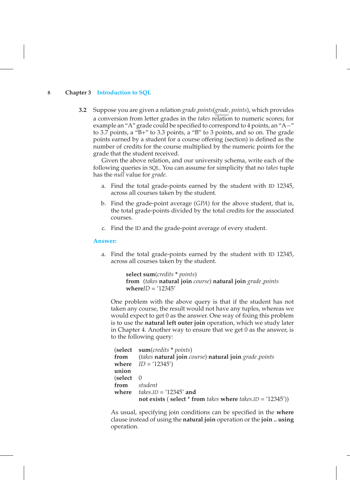**3.2** Suppose you are given a relation *grade points*(*grade*, *points*), which provides a conversion from letter grades in the *takes* relation to numeric scores; for example an "A" grade could be specified to correspond to 4 points, an "A−" to 3.7 points, a "B+" to 3.3 points, a "B" to 3 points, and so on. The grade points earned by a student for a course offering (section) is defined as the number of credits for the course multiplied by the numeric points for the grade that the student received.

Given the above relation, and our university schema, write each of the following queries in SQL. You can assume for simplicity that no *takes* tuple has the *null* value for *grade*.

- a. Find the total grade-points earned by the student with ID 12345, across all courses taken by the student.
- b. Find the grade-point average (*GPA*) for the above student, that is, the total grade-points divided by the total credits for the associated courses.
- c. Find the ID and the grade-point average of every student.

#### **Answer:**

a. Find the total grade-points earned by the student with ID 12345, across all courses taken by the student.

```
select sum(credits * points)
from (takes natural join course) natural join grade points
whereID = '12345'
```
One problem with the above query is that if the student has not taken any course, the result would not have any tuples, whereas we would expect to get 0 as the answer. One way of fixing this problem is to use the **natural left outer join** operation, which we study later in Chapter 4. Another way to ensure that we get 0 as the answer, is to the following query:

|                    | (select sum(credits * points)                                   |
|--------------------|-----------------------------------------------------------------|
|                    | from (takes natural join course) natural join grade_points      |
|                    | where $ID = '12345')$                                           |
| union              |                                                                 |
| $\delta$ (select 0 |                                                                 |
|                    | from student                                                    |
|                    | where $takes.ID = '12345'$ and                                  |
|                    | not exists (select $*$ from takes where takes.ID = $(12345')$ ) |

As usual, specifying join conditions can be specified in the **where** clause instead of using the **natural join** operation or the **join .. using** operation.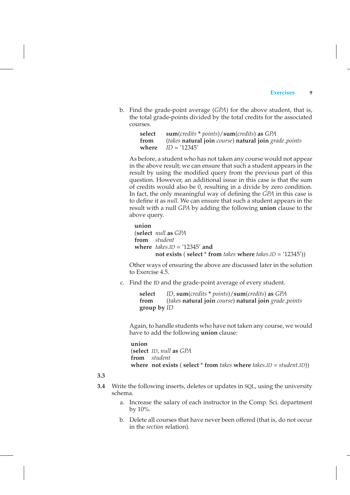b. Find the grade-point average (*GPA*) for the above student, that is, the total grade-points divided by the total credits for the associated courses.

> **select sum**(*credits* **\*** *points*)/**sum**(*credits*) **as** *GPA* **from** (*takes* **natural join** *course*) **natural join** *grade points* **where** *ID* = '12345'

As before, a student who has not taken any course would not appear in the above result; we can ensure that such a student appears in the result by using the modified query from the previous part of this question. However, an additional issue in this case is that the sum of credits would also be 0, resulting in a divide by zero condition. In fact, the only meaningful way of defining the *GPA* in this case is to define it as *null*. We can ensure that such a student appears in the result with a null *GPA* by adding the following **union** clause to the above query.

```
union
```

```
(select null as GPA
from student
where takes.ID = '12345' and
       not exists ( select * from takes where takes.ID = '12345'))
```
Other ways of ensuring the above are discussed later in the solution to Exercise 4.5.

c. Find the ID and the grade-point average of every student.

**select** *ID*, **sum**(*credits* **\*** *points*)/**sum**(*credits*) **as** *GPA* **from** (*takes* **natural join** *course*) **natural join** *grade points* **group by** *ID*

Again, to handle students who have not taken any course, we would have to add the following **union** clause:

**union** (**select** *ID*, *null* **as** *GPA* **from** *student* **where not exists** ( **select** \* **from** *takes* **where** *takes*.*ID* = *student*.*ID*))

#### **3.3**

- **3.4** Write the following inserts, deletes or updates in SQL, using the university schema.
	- a. Increase the salary of each instructor in the Comp. Sci. department by 10%.
	- b. Delete all courses that have never been offered (that is, do not occur in the *section* relation).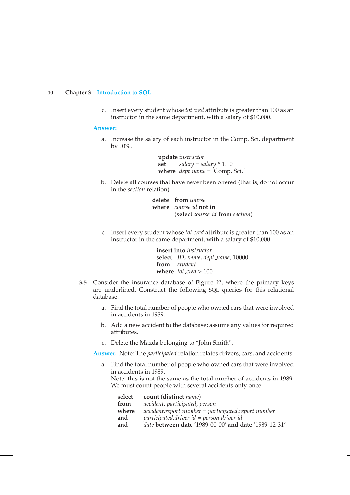c. Insert every student whose *tot cred* attribute is greater than 100 as an instructor in the same department, with a salary of \$10,000.

#### **Answer:**

a. Increase the salary of each instructor in the Comp. Sci. department by 10%.

> **update** *instructor* **set**  $salary = salary * 1.10$ **where** *dept name* = 'Comp. Sci.'

b. Delete all courses that have never been offered (that is, do not occur in the *section* relation).

> **delete from** *course* **where** *course id* **not in** (**select** *course id* **from** *section*)

c. Insert every student whose *tot cred* attribute is greater than 100 as an instructor in the same department, with a salary of \$10,000.

> **insert into** *instructor* **select** *ID*, *name*, *dept name*, 10000 **from** *student* **where** *tot cred* > 100

- **3.5** Consider the insurance database of Figure **??**, where the primary keys are underlined. Construct the following SQL queries for this relational database.
	- a. Find the total number of people who owned cars that were involved in accidents in 1989.
	- b. Add a new accident to the database; assume any values for required attributes.
	- c. Delete the Mazda belonging to "John Smith".

**Answer:** Note: The *participated* relation relates drivers, cars, and accidents.

a. Find the total number of people who owned cars that were involved in accidents in 1989.

Note: this is not the same as the total number of accidents in 1989. We must count people with several accidents only once.

| select | count (distinct <i>name</i> )                               |
|--------|-------------------------------------------------------------|
| from   | accident, participated, person                              |
| where  | $accident.report_number = participateInumber$               |
| and    | $participated.driver_id = person.driver_id$                 |
| and    | <i>date</i> between date '1989-00-00' and date '1989-12-31' |
|        |                                                             |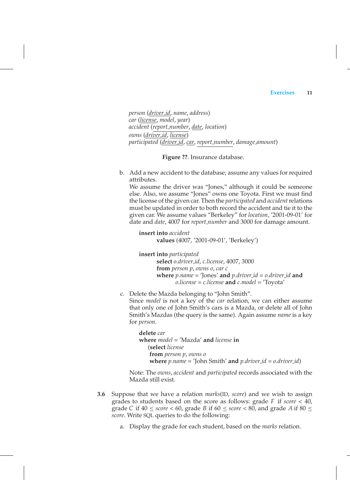*person* (*driver id*, *name*, *address*) *car* (*license*, *model*, *year*) *accident* (*report number*, *date*, *location*) *owns* (*driver id*, *license*) *participated* (*driver id*, *car*, *report number*, *damage amount*)

**Figure ??**. Insurance database.

b. Add a new accident to the database; assume any values for required attributes.

We assume the driver was "Jones," although it could be someone else. Also, we assume "Jones" owns one Toyota. First we must find the license of the given car. Then the *participated* and *accident*relations must be updated in order to both record the accident and tie it to the given car. We assume values "Berkeley" for *location*, '2001-09-01' for date and *date*, 4007 for *report number* and 3000 for damage amount.

**insert into** *accident* **values** (4007, '2001-09-01', 'Berkeley')

**insert into** *participated* **select** *o.driver id*, *c.license*, 4007, 3000 **from** *person p*, *owns o*, *car c* **where** *p.name* = 'Jones' **and** *p.driver id* = *o.driver id* **and** *o.license* = *c.license* **and** *c.model* = 'Toyota'

c. Delete the Mazda belonging to "John Smith".

Since *model* is not a key of the *car* relation, we can either assume that only one of John Smith's cars is a Mazda, or delete all of John Smith's Mazdas (the query is the same). Again assume *name* is a key for *person*.

**delete** *car* **where** *model* = 'Mazda' **and** *license* **in** (**select** *license* **from** *person p*, *owns o* **where** *p.name* = 'John Smith' **and** *p.driver id* = *o.driver id*)

Note: The *owns*, *accident* and *participated* records associated with the Mazda still exist.

- **3.6** Suppose that we have a relation *marks*(ID, *score*) and we wish to assign grades to students based on the score as follows: grade *F* if *score* < 40, grade *C* if  $40 \leq score \leq 60$ , grade *B* if  $60 \leq score \leq 80$ , and grade *A* if  $80 \leq$ *score*. Write SQL queries to do the following:
	- a. Display the grade for each student, based on the *marks* relation.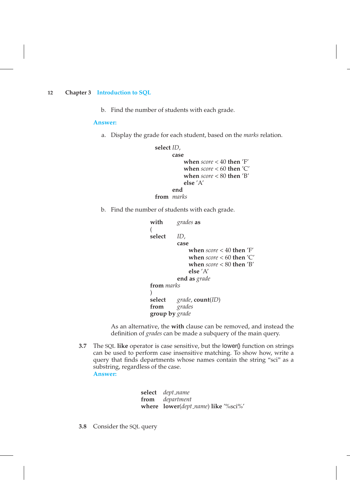b. Find the number of students with each grade.

**Answer:**

a. Display the grade for each student, based on the *marks* relation.

```
select ID,
      case
          when score < 40 then 'F'
          when score < 60 then 'C'
          when score < 80 then 'B'
          else 'A'
      end
from marks
```
b. Find the number of students with each grade.

```
with grades as
(
select ID,
          case
              when score < 40 then 'F'
              when score < 60 then 'C'
              when score < 80 then 'B'
              else 'A'
          end as grade
from marks
)<br>select
          select grade, count(ID)
from grades
group by grade
```
As an alternative, the **with** clause can be removed, and instead the definition of *grades* can be made a subquery of the main query.

**3.7** The SQL **like** operator is case sensitive, but the lower() function on strings can be used to perform case insensitive matching. To show how, write a query that finds departments whose names contain the string "sci" as a substring, regardless of the case. **Answer:**

> **select** *dept name* **from** *department* **where lower**(*dept name*) **like** '%sci%'

**3.8** Consider the SQL query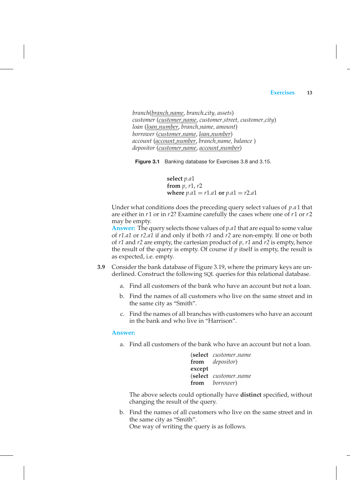*branch*(*branch name*, *branch city, assets*) *customer* (*customer name*, *customer street, customer city*) *loan* (*loan number*, *branch name, amount*) *borrower* (*customer name*, *loan number*) *account* (*account number*, *branch name, balance* ) *depositor* (*customer name*, *account number*)

**Figure 3.1** Banking database for Exercises 3.8 and 3.15.

**select** *p.a*1 **from** *p*, *r*1, *r*2 **where**  $p.a1 = r1.a1$  or  $p.a1 = r2.a1$ 

Under what conditions does the preceding query select values of *p*.*a*1 that are either in *r*1 or in *r*2? Examine carefully the cases where one of *r*1 or *r*2 may be empty.

**Answer:** The query selects those values of *p.a1* that are equal to some value of *r1.a1* or *r2.a1* if and only if both *r1* and *r2* are non-empty. If one or both of *r1* and *r2* are empty, the cartesian product of *p, r1* and *r2* is empty, hence the result of the query is empty. Of course if *p* itself is empty, the result is as expected, i.e. empty.

- **3.9** Consider the bank database of Figure 3.19, where the primary keys are underlined. Construct the following SQL queries for this relational database.
	- a. Find all customers of the bank who have an account but not a loan.
	- b. Find the names of all customers who live on the same street and in the same city as "Smith".
	- c. Find the names of all branches with customers who have an account in the bank and who live in "Harrison".

#### **Answer:**

a. Find all customers of the bank who have an account but not a loan.

(**select** *customer name* **from** *depositor*) **except** (**select** *customer name* **from** *borrower*)

The above selects could optionally have **distinct** specified, without changing the result of the query.

b. Find the names of all customers who live on the same street and in the same city as "Smith". One way of writing the query is as follows.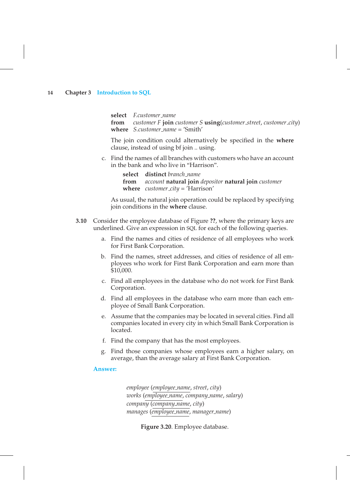**select** *F.customer name* **from** *customer F* **join** *customer S* **using**(*customer street*, *customer city*) **where** *S.customer name* = 'Smith'

The join condition could alternatively be specified in the **where** clause, instead of using bf join .. using.

- c. Find the names of all branches with customers who have an account in the bank and who live in "Harrison".
	- **select distinct** *branch name* **from** *account* **natural join** *depositor* **natural join** *customer* **where** *customer city* = 'Harrison'

As usual, the natural join operation could be replaced by specifying join conditions in the **where** clause.

- **3.10** Consider the employee database of Figure **??**, where the primary keys are underlined. Give an expression in SQL for each of the following queries.
	- a. Find the names and cities of residence of all employees who work for First Bank Corporation.
	- b. Find the names, street addresses, and cities of residence of all employees who work for First Bank Corporation and earn more than \$10,000.
	- c. Find all employees in the database who do not work for First Bank Corporation.
	- d. Find all employees in the database who earn more than each employee of Small Bank Corporation.
	- e. Assume that the companies may be located in several cities. Find all companies located in every city in which Small Bank Corporation is located.
	- f. Find the company that has the most employees.
	- g. Find those companies whose employees earn a higher salary, on average, than the average salary at First Bank Corporation.

#### **Answer:**

*employee* (*employee name*, *street*, *city*) *works* (*employee name*, *company name*, *salary*) *company* (*company name*, *city*) *manages* (*employee name*, *manager name*)

**Figure 3.20**. Employee database.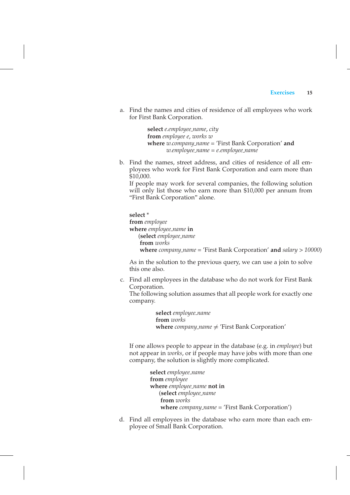a. Find the names and cities of residence of all employees who work for First Bank Corporation.

> **select** *e.employee name*, *city* **from** *employee e*, *works w* **where** *w.company name =* 'First Bank Corporation' **and** *w.employee name = e.employee name*

b. Find the names, street address, and cities of residence of all employees who work for First Bank Corporation and earn more than \$10,000.

If people may work for several companies, the following solution will only list those who earn more than \$10,000 per annum from "First Bank Corporation" alone.

**select** \* **from** *employee* **where** *employee name* **in** (**select** *employee name* **from** *works* **where** *company name* = 'First Bank Corporation' **and** *salary > 10000*)

As in the solution to the previous query, we can use a join to solve this one also.

c. Find all employees in the database who do not work for First Bank Corporation.

The following solution assumes that all people work for exactly one company.

> **select** *employee name* **from** *works* **where**  $company_name \neq 'First Bank Corporation'$

If one allows people to appear in the database (e.g. in *employee*) but not appear in *works*, or if people may have jobs with more than one company, the solution is slightly more complicated.

> **select** *employee name* **from** *employee* **where** *employee name* **not in** (**select** *employee name* **from** *works* **where** *company name* = 'First Bank Corporation')

d. Find all employees in the database who earn more than each employee of Small Bank Corporation.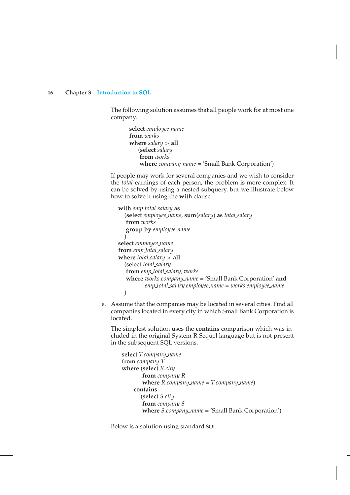The following solution assumes that all people work for at most one company.

**select** *employee name* **from** *works* **where** *salary* > **all** (**select** *salary* **from** *works* **where** *company name* = 'Small Bank Corporation')

If people may work for several companies and we wish to consider the *total* earnings of each person, the problem is more complex. It can be solved by using a nested subquery, but we illustrate below how to solve it using the **with** clause.

```
with emp total salary as
  (select employee name, sum(salary) as total salary
   from works
   group by employee name
  )
select employee name
from emp total salary
where total salary > all
  (select total salary
   from emp total salary, works
   where works.company name = 'Small Bank Corporation' and
          emp total salary.employee name = works.employee name
  )
```
e. Assume that the companies may be located in several cities. Find all companies located in every city in which Small Bank Corporation is located.

The simplest solution uses the **contains** comparison which was included in the original System R Sequel language but is not present in the subsequent SQL versions.

```
select T.company name
from company T
where (select R.city
       from company R
       where R.company name = T.company name)
    contains
      (select S.city
       from company S
       where S.company name = 'Small Bank Corporation')
```
Below is a solution using standard SQL.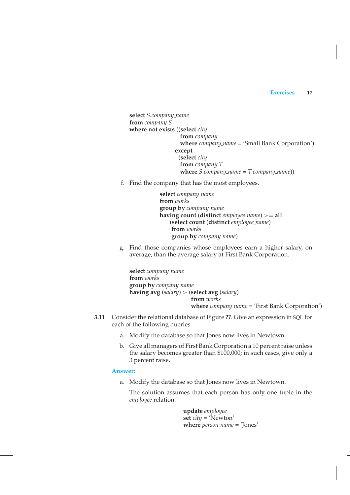**select** *S.company name* **from** *company S* **where not exists** ((**select** *city* **from** *company* **where** *company name* = 'Small Bank Corporation') **except** (**select** *city* **from** *company T* **where** *S.company name = T.company name*))

f. Find the company that has the most employees.

**select** *company name* **from** *works* **group by** *company name* **having count** (**distinct** *employee name*) >= **all** (**select count** (**distinct** *employee name*) **from** *works* **group by** *company name*)

g. Find those companies whose employees earn a higher salary, on average, than the average salary at First Bank Corporation.

**select** *company name* **from** *works* **group by** *company name* **having avg** (*salary*) > (**select avg** (*salary*) **from** *works* **where** *company name* = 'First Bank Corporation')

- **3.11** Consider the relational database of Figure **??**. Give an expression in SQL for each of the following queries.
	- a. Modify the database so that Jones now lives in Newtown.
	- b. Give all managers of First Bank Corporation a 10 percent raise unless the salary becomes greater than \$100,000; in such cases, give only a 3 percent raise.

**Answer:**

a. Modify the database so that Jones now lives in Newtown.

The solution assumes that each person has only one tuple in the *employee* relation.

> **update** *employee* **set** *city* = 'Newton' **where** *person name* = 'Jones'